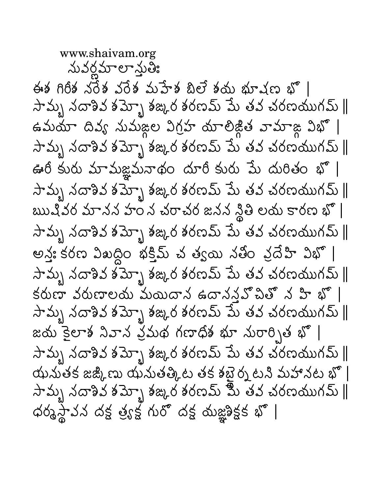www.shaivam.org <u>నువర్ణమాలాన్తుతి:</u> ఈశ గిరీశ నరేశ వరేశ మహేశ బిలే శయ భూషణ భొ | సామ్బ నదాశివ శమ్బో శఙ్కర శరణమ్ పేు తవ చరణయుగమ్ || ఉమయా దివ్య సుమజ్ల విగ్రహ యాలిజ్డిత వామాజ్గ విభొ | సామృ నదాశివ శమ్బో శఙ్కర శరణమ్ పేు తవ చరణయుగమ్ ∥ ఊరీ కురు మామజ్ఞమనాథం దూరీ కురు పేు దురితం భొ | సామృ నదాశివ శమ్ృా శఙ,ర శరణమ్ పేు తవ చరణయుగమ్ ∥ బుుషివర మానన హం న చరాచర జనన నీ్ల లయ కారణ భో | సామృ నదాశివ శమ్ృా శఙ,ర శరణమ్ పు తవ చరణయుగమ్ ∥ అన్త: కరణ విఖద్ధిం భక్తిమ్ చ త్వయి నతీం వ్రదేహి విభో | సామృ నదాశివ శమ్బో శఙధర శరణమ్ మే తవ చరణయుగమ్ ∥ కరుణా వరుణాలయ మయిదాన ఉదానన్లపొచితో న హి భో | సామృ నదాశివ శమ్బో శఙ్కర శరణమ్ పేు తవ చరణయుగమ్ ∥ జయ కైలాశ నివాన వ్రమథ గణాధిశ భూ నురార్పిత భొ | సామృ నదాశివ శమ్ృా శఙ,ర శరణమ్ మే తవ చరణయుగమ్ ∥ యమతక జజ్కిణు యనుతత్కిట తక శబైర్న టని మహానట భొ |  $\lambda$ ామ్బ నదాశివ శమ్బో శజ్కర శరణమ్ మీ తవ చరణయుగమ్  $\parallel$ ధర్మస్థావన దక్ష త్ర్యక్ష గురో దక్ష యజ్ఞ్రిక్షక భో |